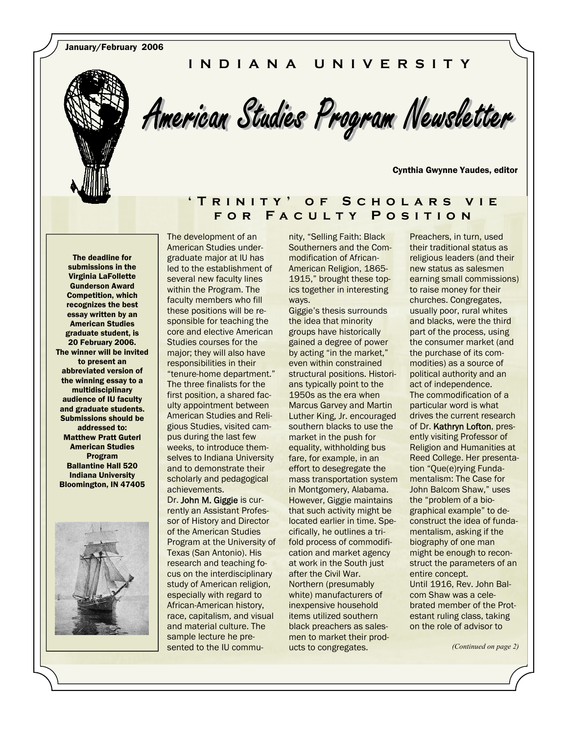January/February 2006

### **INDIANA UNIVERSITY**



American Studies Program Newsletter

Cynthia Gwynne Yaudes, editor

#### **'Trinity' of Scholars vie for Faculty Position**

The deadline for submissions in the Virginia LaFollette Gunderson Award Competition, which recognizes the best essay written by an American Studies graduate student, is 20 February 2006. The winner will be invited to present an abbreviated version of the winning essay to a multidisciplinary audience of IU faculty and graduate students. Submissions should be addressed to: Matthew Pratt Guterl American Studies Program Ballantine Hall 520 Indiana University Bloomington, IN 47405



The development of an American Studies undergraduate major at IU has led to the establishment of several new faculty lines within the Program. The faculty members who fill these positions will be responsible for teaching the core and elective American Studies courses for the major; they will also have responsibilities in their "tenure-home department." The three finalists for the first position, a shared faculty appointment between American Studies and Religious Studies, visited campus during the last few weeks, to introduce themselves to Indiana University and to demonstrate their scholarly and pedagogical achievements. Dr. John M. Giggie is cur-

rently an Assistant Professor of History and Director of the American Studies Program at the University of Texas (San Antonio). His research and teaching focus on the interdisciplinary study of American religion, especially with regard to African-American history, race, capitalism, and visual and material culture. The sample lecture he presented to the IU commu-

nity, "Selling Faith: Black Southerners and the Commodification of African-American Religion, 1865- 1915," brought these topics together in interesting ways.

Giggie's thesis surrounds the idea that minority groups have historically gained a degree of power by acting "in the market," even within constrained structural positions. Historians typically point to the 1950s as the era when Marcus Garvey and Martin Luther King, Jr. encouraged southern blacks to use the market in the push for equality, withholding bus fare, for example, in an effort to desegregate the mass transportation system in Montgomery, Alabama. However, Giggie maintains that such activity might be located earlier in time. Specifically, he outlines a trifold process of commodification and market agency at work in the South just after the Civil War. Northern (presumably white) manufacturers of inexpensive household items utilized southern black preachers as salesmen to market their products to congregates.

Preachers, in turn, used their traditional status as religious leaders (and their new status as salesmen earning small commissions) to raise money for their churches. Congregates, usually poor, rural whites and blacks, were the third part of the process, using the consumer market (and the purchase of its commodities) as a source of political authority and an act of independence. The commodification of a particular word is what drives the current research of Dr. Kathryn Lofton, presently visiting Professor of Religion and Humanities at Reed College. Her presentation "Que(e)rying Fundamentalism: The Case for John Balcom Shaw," uses the "problem of a biographical example" to deconstruct the idea of fundamentalism, asking if the biography of one man might be enough to reconstruct the parameters of an entire concept. Until 1916, Rev. John Balcom Shaw was a celebrated member of the Protestant ruling class, taking on the role of advisor to

*(Continued on page 2)*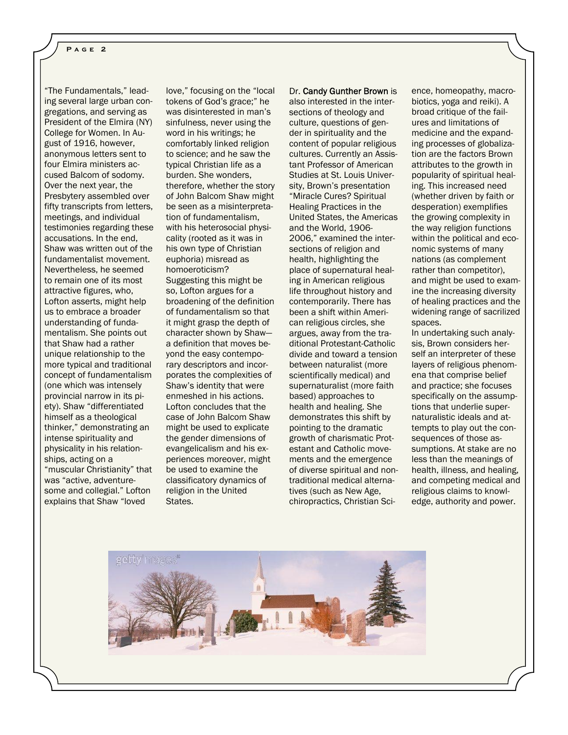"The Fundamentals," leading several large urban congregations, and serving as President of the Elmira (NY) College for Women. In August of 1916, however, anonymous letters sent to four Elmira ministers accused Balcom of sodomy. Over the next year, the Presbytery assembled over fifty transcripts from letters, meetings, and individual testimonies regarding these accusations. In the end, Shaw was written out of the fundamentalist movement. Nevertheless, he seemed to remain one of its most attractive figures, who, Lofton asserts, might help us to embrace a broader understanding of fundamentalism. She points out that Shaw had a rather unique relationship to the more typical and traditional concept of fundamentalism (one which was intensely provincial narrow in its piety). Shaw "differentiated himself as a theological thinker," demonstrating an intense spirituality and physicality in his relationships, acting on a "muscular Christianity" that was "active, adventuresome and collegial." Lofton explains that Shaw "loved

love," focusing on the "local tokens of God's grace;" he was disinterested in man's sinfulness, never using the word in his writings; he comfortably linked religion to science; and he saw the typical Christian life as a burden. She wonders, therefore, whether the story of John Balcom Shaw might be seen as a misinterpretation of fundamentalism, with his heterosocial physicality (rooted as it was in his own type of Christian euphoria) misread as homoeroticism? Suggesting this might be so, Lofton argues for a broadening of the definition of fundamentalism so that it might grasp the depth of character shown by Shaw a definition that moves beyond the easy contemporary descriptors and incorporates the complexities of Shaw's identity that were enmeshed in his actions. Lofton concludes that the case of John Balcom Shaw might be used to explicate the gender dimensions of evangelicalism and his experiences moreover, might be used to examine the classificatory dynamics of religion in the United States.

Dr. Candy Gunther Brown is also interested in the intersections of theology and culture, questions of gender in spirituality and the content of popular religious cultures. Currently an Assistant Professor of American Studies at St. Louis University, Brown's presentation "Miracle Cures? Spiritual Healing Practices in the United States, the Americas and the World, 1906- 2006," examined the intersections of religion and health, highlighting the place of supernatural healing in American religious life throughout history and contemporarily. There has been a shift within American religious circles, she argues, away from the traditional Protestant-Catholic divide and toward a tension between naturalist (more scientifically medical) and supernaturalist (more faith based) approaches to health and healing. She demonstrates this shift by pointing to the dramatic growth of charismatic Protestant and Catholic movements and the emergence of diverse spiritual and nontraditional medical alternatives (such as New Age, chiropractics, Christian Science, homeopathy, macrobiotics, yoga and reiki). A broad critique of the failures and limitations of medicine and the expanding processes of globalization are the factors Brown attributes to the growth in popularity of spiritual healing. This increased need (whether driven by faith or desperation) exemplifies the growing complexity in the way religion functions within the political and economic systems of many nations (as complement rather than competitor), and might be used to examine the increasing diversity of healing practices and the widening range of sacrilized spaces. In undertaking such analy-

sis, Brown considers herself an interpreter of these layers of religious phenomena that comprise belief and practice; she focuses specifically on the assumptions that underlie supernaturalistic ideals and attempts to play out the consequences of those assumptions. At stake are no less than the meanings of health, illness, and healing, and competing medical and religious claims to knowledge, authority and power.

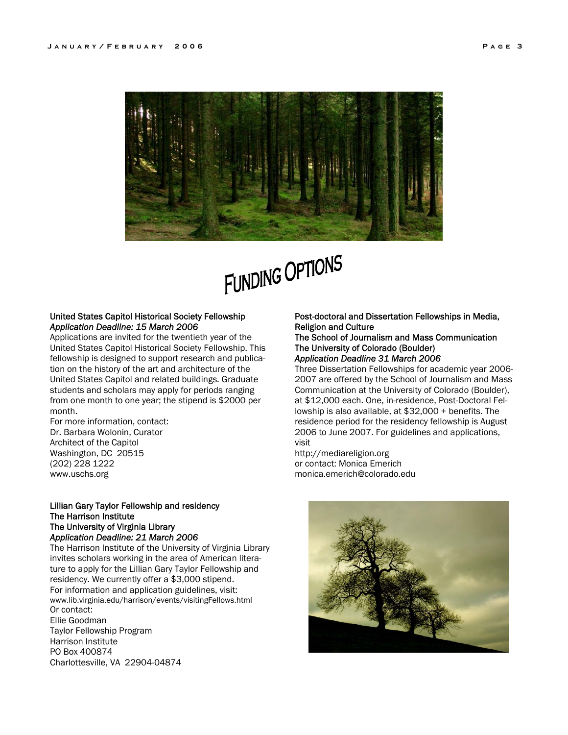

# FUNDING OPTIONS

#### United States Capitol Historical Society Fellowship *Application Deadline: 15 March 2006*

Applications are invited for the twentieth year of the United States Capitol Historical Society Fellowship. This fellowship is designed to support research and publication on the history of the art and architecture of the United States Capitol and related buildings. Graduate students and scholars may apply for periods ranging from one month to one year; the stipend is \$2000 per month.

For more information, contact: Dr. Barbara Wolonin, Curator Architect of the Capitol Washington, DC 20515 (202) 228 1222 www.uschs.org

#### Lillian Gary Taylor Fellowship and residency The Harrison Institute The University of Virginia Library *Application Deadline: 21 March 2006*

Charlottesville, VA 22904-04874

The Harrison Institute of the University of Virginia Library invites scholars working in the area of American literature to apply for the Lillian Gary Taylor Fellowship and residency. We currently offer a \$3,000 stipend. For information and application guidelines, visit: www.lib.virginia.edu/harrison/events/visitingFellows.html Or contact: Ellie Goodman Taylor Fellowship Program Harrison Institute PO Box 400874

#### Post-doctoral and Dissertation Fellowships in Media, Religion and Culture

#### The School of Journalism and Mass Communication The University of Colorado (Boulder)

#### *Application Deadline 31 March 2006*

Three Dissertation Fellowships for academic year 2006- 2007 are offered by the School of Journalism and Mass Communication at the University of Colorado (Boulder), at \$12,000 each. One, in-residence, Post-Doctoral Fellowship is also available, at \$32,000 + benefits. The residence period for the residency fellowship is August 2006 to June 2007. For guidelines and applications, visit

http://mediareligion.org or contact: Monica Emerich monica.emerich@colorado.edu

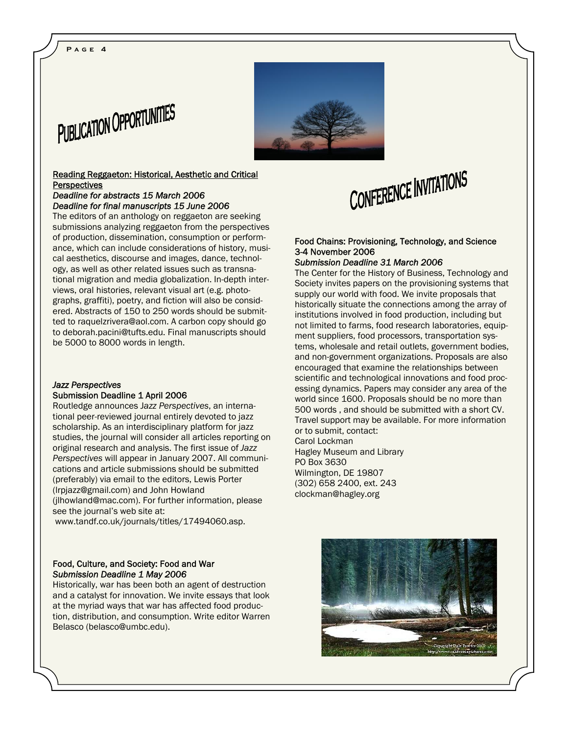#### **Page 4**



#### Reading Reggaeton: Historical, Aesthetic and Critical **Perspectives**

#### *Deadline for abstracts 15 March 2006 Deadline for final manuscripts 15 June 2006*

The editors of an anthology on reggaeton are seeking submissions analyzing reggaeton from the perspectives of production, dissemination, consumption or performance, which can include considerations of history, musical aesthetics, discourse and images, dance, technology, as well as other related issues such as transnational migration and media globalization. In-depth interviews, oral histories, relevant visual art (e.g. photographs, graffiti), poetry, and fiction will also be considered. Abstracts of 150 to 250 words should be submitted to raquelzrivera@aol.com. A carbon copy should go to deborah.pacini@tufts.edu. Final manuscripts should be 5000 to 8000 words in length.

#### *Jazz Perspectives*  Submission Deadline 1 April 2006

Routledge announces J*azz Perspectives*, an international peer-reviewed journal entirely devoted to jazz scholarship. As an interdisciplinary platform for jazz studies, the journal will consider all articles reporting on original research and analysis. The first issue of *Jazz Perspectives* will appear in January 2007. All communications and article submissions should be submitted (preferably) via email to the editors, Lewis Porter (lrpjazz@gmail.com) and John Howland (jlhowland@mac.com). For further information, please see the journal's web site at:

www.tandf.co.uk/journals/titles/17494060.asp.

#### Food, Culture, and Society: Food and War *Submission Deadline 1 May 2006*

Historically, war has been both an agent of destruction and a catalyst for innovation. We invite essays that look at the myriad ways that war has affected food production, distribution, and consumption. Write editor Warren Belasco (belasco@umbc.edu).



## CONFERENCE INVITATIONS

#### Food Chains: Provisioning, Technology, and Science 3-4 November 2006

#### *Submission Deadline 31 March 2006*

The Center for the History of Business, Technology and Society invites papers on the provisioning systems that supply our world with food. We invite proposals that historically situate the connections among the array of institutions involved in food production, including but not limited to farms, food research laboratories, equipment suppliers, food processors, transportation systems, wholesale and retail outlets, government bodies, and non-government organizations. Proposals are also encouraged that examine the relationships between scientific and technological innovations and food processing dynamics. Papers may consider any area of the world since 1600. Proposals should be no more than 500 words , and should be submitted with a short CV. Travel support may be available. For more information or to submit, contact: Carol Lockman Hagley Museum and Library

PO Box 3630 Wilmington, DE 19807 (302) 658 2400, ext. 243 clockman@hagley.org

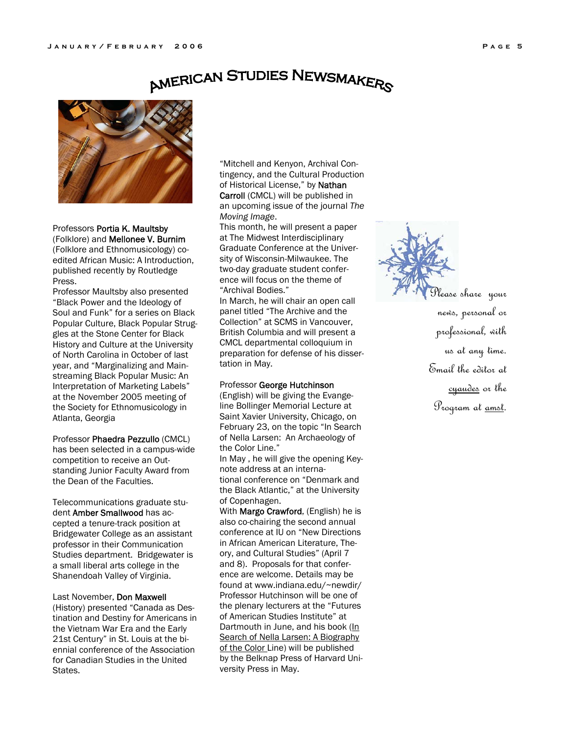### **AMERICAN STUDIES NEWSMAKERS**



Professors Portia K. Maultsby (Folklore) and Mellonee V. Burnim

(Folklore and Ethnomusicology) coedited African Music: A Introduction, published recently by Routledge Press.

Professor Maultsby also presented "Black Power and the Ideology of Soul and Funk" for a series on Black Popular Culture, Black Popular Struggles at the Stone Center for Black History and Culture at the University of North Carolina in October of last year, and "Marginalizing and Mainstreaming Black Popular Music: An Interpretation of Marketing Labels" at the November 2005 meeting of the Society for Ethnomusicology in Atlanta, Georgia

#### Professor Phaedra Pezzullo (CMCL)

has been selected in a campus-wide competition to receive an Outstanding Junior Faculty Award from the Dean of the Faculties.

Telecommunications graduate student Amber Smallwood has accepted a tenure-track position at Bridgewater College as an assistant professor in their Communication Studies department. Bridgewater is a small liberal arts college in the Shanendoah Valley of Virginia.

#### Last November, Don Maxwell

(History) presented "Canada as Destination and Destiny for Americans in the Vietnam War Era and the Early 21st Century" in St. Louis at the biennial conference of the Association for Canadian Studies in the United States.

"Mitchell and Kenyon, Archival Contingency, and the Cultural Production of Historical License," by Nathan Carroll (CMCL) will be published in an upcoming issue of the journal *The Moving Image*.

This month, he will present a paper at The Midwest Interdisciplinary Graduate Conference at the University of Wisconsin-Milwaukee. The two-day graduate student conference will focus on the theme of "Archival Bodies."

In March, he will chair an open call panel titled "The Archive and the Collection" at SCMS in Vancouver, British Columbia and will present a CMCL departmental colloquium in preparation for defense of his dissertation in May.

#### Professor George Hutchinson

(English) will be giving the Evangeline Bollinger Memorial Lecture at Saint Xavier University, Chicago, on February 23, on the topic "In Search of Nella Larsen: An Archaeology of the Color Line."

In May , he will give the opening Keynote address at an interna-

tional conference on "Denmark and the Black Atlantic," at the University of Copenhagen.

With Margo Crawford, (English) he is also co-chairing the second annual conference at IU on "New Directions in African American Literature, Theory, and Cultural Studies" (April 7 and 8). Proposals for that conference are welcome. Details may be found at www.indiana.edu/~newdir/ Professor Hutchinson will be one of the plenary lecturers at the "Futures of American Studies Institute" at Dartmouth in June, and his book (In Search of Nella Larsen: A Biography of the Color Line) will be published by the Belknap Press of Harvard University Press in May.



Please share your news, personal or professional, with us at any time. Email the editor at cyaudes or the Program at <u>amst</u>.